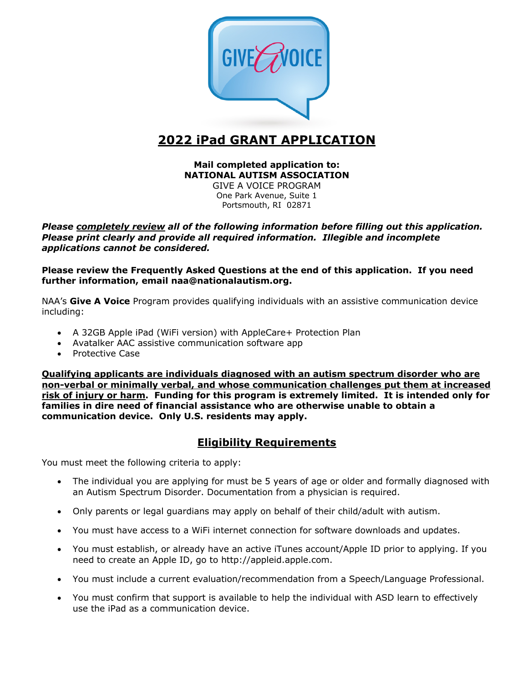

# **2022 iPad GRANT APPLICATION**

# **Mail completed application to: NATIONAL AUTISM ASSOCIATION**

GIVE A VOICE PROGRAM One Park Avenue, Suite 1 Portsmouth, RI 02871

*Please completely review all of the following information before filling out this application. Please print clearly and provide all required information. Illegible and incomplete applications cannot be considered.*

**Please review the Frequently Asked Questions at the end of this application. If you need further information, email naa@nationalautism.org.**

NAA's **Give A Voice** Program provides qualifying individuals with an assistive communication device including:

- A 32GB Apple iPad (WiFi version) with AppleCare+ Protection Plan
- Avatalker AAC assistive communication software app
- Protective Case

**Qualifying applicants are individuals diagnosed with an autism spectrum disorder who are non-verbal or minimally verbal, and whose communication challenges put them at increased risk of injury or harm. Funding for this program is extremely limited. It is intended only for families in dire need of financial assistance who are otherwise unable to obtain a communication device. Only U.S. residents may apply.**

# **Eligibility Requirements**

You must meet the following criteria to apply:

- The individual you are applying for must be 5 years of age or older and formally diagnosed with an Autism Spectrum Disorder. Documentation from a physician is required.
- Only parents or legal guardians may apply on behalf of their child/adult with autism.
- You must have access to a WiFi internet connection for software downloads and updates.
- You must establish, or already have an active iTunes account/Apple ID prior to applying. If you need to create an Apple ID, go to http://appleid.apple.com.
- You must include a current evaluation/recommendation from a Speech/Language Professional.
- You must confirm that support is available to help the individual with ASD learn to effectively use the iPad as a communication device.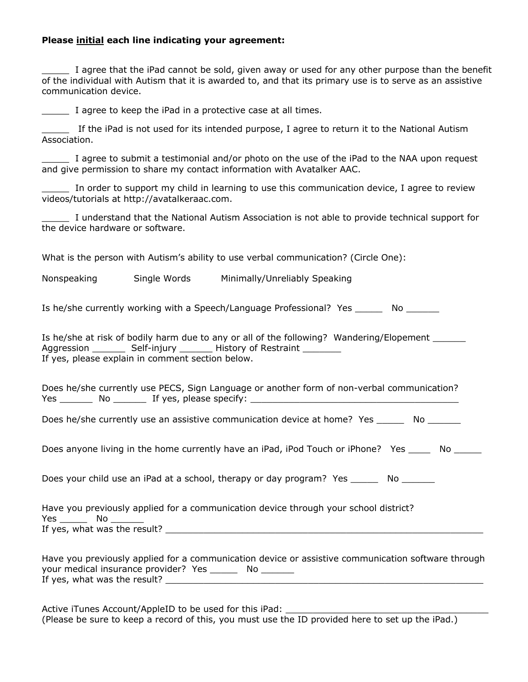### **Please initial each line indicating your agreement:**

I agree that the iPad cannot be sold, given away or used for any other purpose than the benefit of the individual with Autism that it is awarded to, and that its primary use is to serve as an assistive communication device.

I agree to keep the iPad in a protective case at all times.

If the iPad is not used for its intended purpose, I agree to return it to the National Autism Association.

I agree to submit a testimonial and/or photo on the use of the iPad to the NAA upon request and give permission to share my contact information with Avatalker AAC.

In order to support my child in learning to use this communication device, I agree to review videos/tutorials at http://avatalkeraac.com.

\_\_\_\_\_ I understand that the National Autism Association is not able to provide technical support for the device hardware or software.

What is the person with Autism's ability to use verbal communication? (Circle One):

Nonspeaking Single Words Minimally/Unreliably Speaking

Is he/she currently working with a Speech/Language Professional? Yes No

|                                                  | Is he/she at risk of bodily harm due to any or all of the following? Wandering/Elopement |  |
|--------------------------------------------------|------------------------------------------------------------------------------------------|--|
| Aggression __                                    | Self-injury _________ History of Restraint                                               |  |
| If yes, please explain in comment section below. |                                                                                          |  |

Does he/she currently use PECS, Sign Language or another form of non-verbal communication? Yes Mo Mo If yes, please specify:

Does he/she currently use an assistive communication device at home? Yes Mo

Does anyone living in the home currently have an iPad, iPod Touch or iPhone? Yes No

Does your child use an iPad at a school, therapy or day program? Yes \_\_\_\_\_\_\_ No \_\_\_\_\_\_

Have you previously applied for a communication device through your school district? Yes \_\_\_\_\_\_\_\_\_\_ No \_ If yes, what was the result? The state of the state of the state of the state of the state of the state of the state of the state of the state of the state of the state of the state of the state of the state of the state o

Have you previously applied for a communication device or assistive communication software through your medical insurance provider? Yes \_\_\_\_\_\_\_ No \_\_\_\_\_\_\_ If yes, what was the result?

Active iTunes Account/AppleID to be used for this iPad: (Please be sure to keep a record of this, you must use the ID provided here to set up the iPad.)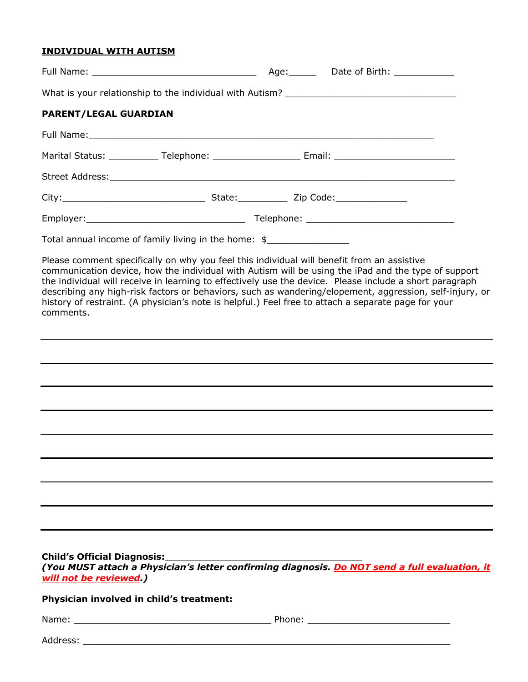# **INDIVIDUAL WITH AUTISM**

| <b>PARENT/LEGAL GUARDIAN</b>                                 |                                                      |                                                                                                                                                                                                                                                                                                                                                                                                                                                                                                                                |  |
|--------------------------------------------------------------|------------------------------------------------------|--------------------------------------------------------------------------------------------------------------------------------------------------------------------------------------------------------------------------------------------------------------------------------------------------------------------------------------------------------------------------------------------------------------------------------------------------------------------------------------------------------------------------------|--|
|                                                              |                                                      |                                                                                                                                                                                                                                                                                                                                                                                                                                                                                                                                |  |
|                                                              |                                                      | Marital Status: _____________ Telephone: ________________________Email: ____________________________                                                                                                                                                                                                                                                                                                                                                                                                                           |  |
|                                                              |                                                      |                                                                                                                                                                                                                                                                                                                                                                                                                                                                                                                                |  |
|                                                              |                                                      |                                                                                                                                                                                                                                                                                                                                                                                                                                                                                                                                |  |
|                                                              |                                                      |                                                                                                                                                                                                                                                                                                                                                                                                                                                                                                                                |  |
|                                                              | Total annual income of family living in the home: \$ |                                                                                                                                                                                                                                                                                                                                                                                                                                                                                                                                |  |
| comments.                                                    |                                                      | Please comment specifically on why you feel this individual will benefit from an assistive<br>communication device, how the individual with Autism will be using the iPad and the type of support<br>the individual will receive in learning to effectively use the device. Please include a short paragraph<br>describing any high-risk factors or behaviors, such as wandering/elopement, aggression, self-injury, or<br>history of restraint. (A physician's note is helpful.) Feel free to attach a separate page for your |  |
|                                                              |                                                      |                                                                                                                                                                                                                                                                                                                                                                                                                                                                                                                                |  |
|                                                              |                                                      |                                                                                                                                                                                                                                                                                                                                                                                                                                                                                                                                |  |
|                                                              |                                                      |                                                                                                                                                                                                                                                                                                                                                                                                                                                                                                                                |  |
|                                                              |                                                      |                                                                                                                                                                                                                                                                                                                                                                                                                                                                                                                                |  |
|                                                              |                                                      |                                                                                                                                                                                                                                                                                                                                                                                                                                                                                                                                |  |
|                                                              |                                                      |                                                                                                                                                                                                                                                                                                                                                                                                                                                                                                                                |  |
|                                                              |                                                      |                                                                                                                                                                                                                                                                                                                                                                                                                                                                                                                                |  |
|                                                              |                                                      |                                                                                                                                                                                                                                                                                                                                                                                                                                                                                                                                |  |
| <b>Child's Official Diagnosis:</b><br>will not be reviewed.) | Physician involved in child's treatment:             |                                                                                                                                                                                                                                                                                                                                                                                                                                                                                                                                |  |
|                                                              |                                                      |                                                                                                                                                                                                                                                                                                                                                                                                                                                                                                                                |  |
|                                                              |                                                      |                                                                                                                                                                                                                                                                                                                                                                                                                                                                                                                                |  |

| Address: |
|----------|
|----------|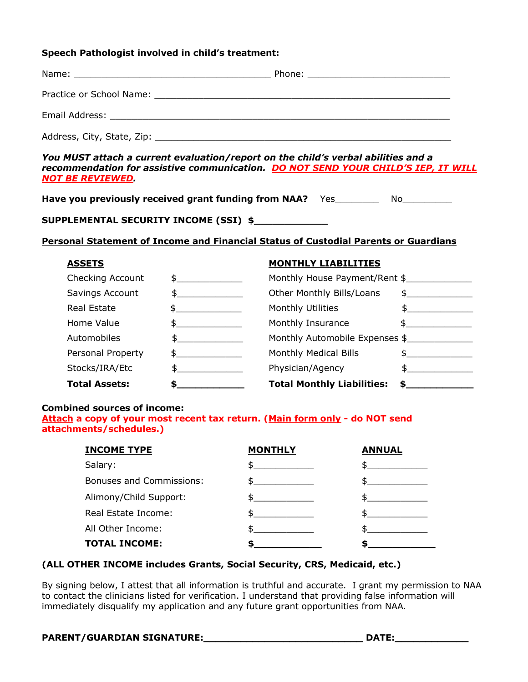#### **Speech Pathologist involved in child's treatment:**

| Address, City, State, Zip: |  |
|----------------------------|--|

*You MUST attach a current evaluation/report on the child's verbal abilities and a recommendation for assistive communication. DO NOT SEND YOUR CHILD'S IEP, IT WILL NOT BE REVIEWED.*

**Have you previously received grant funding from NAA?** Yes\_\_\_\_\_\_\_\_\_ No\_\_\_\_\_\_\_\_\_\_

# **SUPPLEMENTAL SECURITY INCOME (SSI) \$\_\_\_\_\_\_\_\_\_\_\_\_**

### **Personal Statement of Income and Financial Status of Custodial Parents or Guardians**

### **ASSETS MONTHLY LIABILITIES**

| Checking Account     | $\frac{1}{2}$ | Monthly House Payment/Rent \$     |                             |
|----------------------|---------------|-----------------------------------|-----------------------------|
| Savings Account      | \$            | Other Monthly Bills/Loans         | \$                          |
| Real Estate          |               | Monthly Utilities                 | $\mathsf S$ and $\mathsf S$ |
| Home Value           |               | Monthly Insurance                 |                             |
| Automobiles          | \$            | Monthly Automobile Expenses \$    |                             |
| Personal Property    |               | Monthly Medical Bills             |                             |
| Stocks/IRA/Etc       | \$.           | Physician/Agency                  |                             |
| <b>Total Assets:</b> |               | <b>Total Monthly Liabilities:</b> |                             |

#### **Combined sources of income:**

**Attach a copy of your most recent tax return. (Main form only - do NOT send attachments/schedules.)**

| <b>INCOME TYPE</b>              | <b>MONTHLY</b> | <b>ANNUAL</b> |
|---------------------------------|----------------|---------------|
| Salary:                         |                |               |
| <b>Bonuses and Commissions:</b> |                |               |
| Alimony/Child Support:          |                |               |
| Real Estate Income:             |                |               |
| All Other Income:               |                |               |
| <b>TOTAL INCOME:</b>            |                |               |

# **(ALL OTHER INCOME includes Grants, Social Security, CRS, Medicaid, etc.)**

By signing below, I attest that all information is truthful and accurate. I grant my permission to NAA to contact the clinicians listed for verification. I understand that providing false information will immediately disqualify my application and any future grant opportunities from NAA.

# **PARENT/GUARDIAN SIGNATURE:\_\_\_\_\_\_\_\_\_\_\_\_\_\_\_\_\_\_\_\_\_\_\_\_\_\_ DATE:\_\_\_\_\_\_\_\_\_\_\_\_**